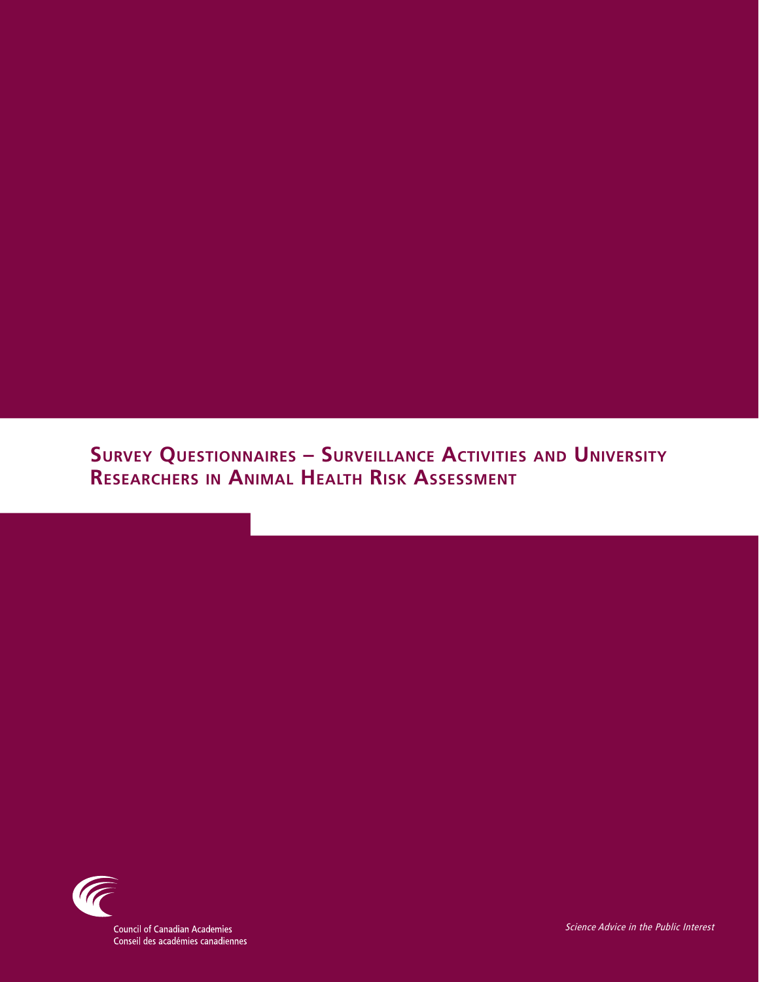# **Survey Questionnaires – Surveillance Activities and University Researchers in Animal Health Risk Assessment**



**Council of Canadian Academies** Conseil des académies canadiennes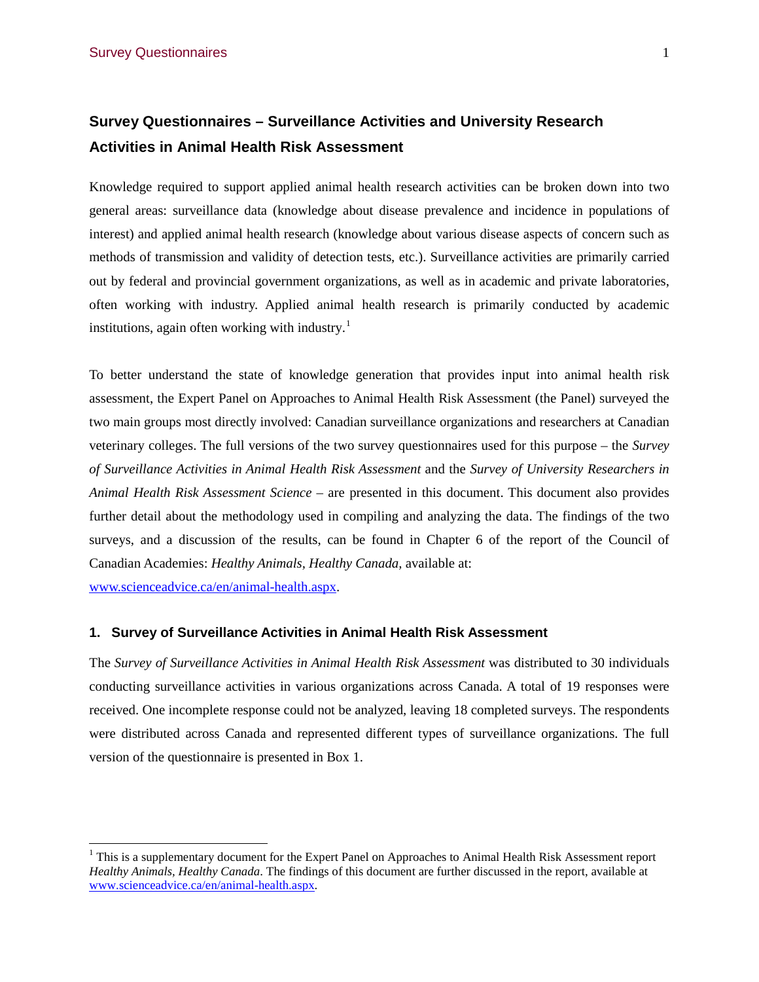## **Survey Questionnaires – Surveillance Activities and University Research Activities in Animal Health Risk Assessment**

Knowledge required to support applied animal health research activities can be broken down into two general areas: surveillance data (knowledge about disease prevalence and incidence in populations of interest) and applied animal health research (knowledge about various disease aspects of concern such as methods of transmission and validity of detection tests, etc.). Surveillance activities are primarily carried out by federal and provincial government organizations, as well as in academic and private laboratories, often working with industry. Applied animal health research is primarily conducted by academic institutions, again often working with industry. [1](#page-1-0)

To better understand the state of knowledge generation that provides input into animal health risk assessment, the Expert Panel on Approaches to Animal Health Risk Assessment (the Panel) surveyed the two main groups most directly involved: Canadian surveillance organizations and researchers at Canadian veterinary colleges. The full versions of the two survey questionnaires used for this purpose – the *Survey of Surveillance Activities in Animal Health Risk Assessment* and the *Survey of University Researchers in Animal Health Risk Assessment Science* – are presented in this document. This document also provides further detail about the methodology used in compiling and analyzing the data. The findings of the two surveys, and a discussion of the results, can be found in Chapter 6 of the report of the Council of Canadian Academies: *Healthy Animals, Healthy Canada,* available at:

[www.scienceadvice.ca/en/animal-health.aspx.](http://www.scienceadvice.ca/en/animal-health.aspx)

#### **1. Survey of Surveillance Activities in Animal Health Risk Assessment**

The *Survey of Surveillance Activities in Animal Health Risk Assessment* was distributed to 30 individuals conducting surveillance activities in various organizations across Canada. A total of 19 responses were received. One incomplete response could not be analyzed, leaving 18 completed surveys. The respondents were distributed across Canada and represented different types of surveillance organizations. The full version of the questionnaire is presented in Box 1.

<span id="page-1-0"></span><sup>&</sup>lt;sup>1</sup> This is a supplementary document for the Expert Panel on Approaches to Animal Health Risk Assessment report *Healthy Animals, Healthy Canada*. The findings of this document are further discussed in the report, available at [www.scienceadvice.ca/en/animal-health.aspx.](http://www.scienceadvice.ca/en/animal-health.aspx)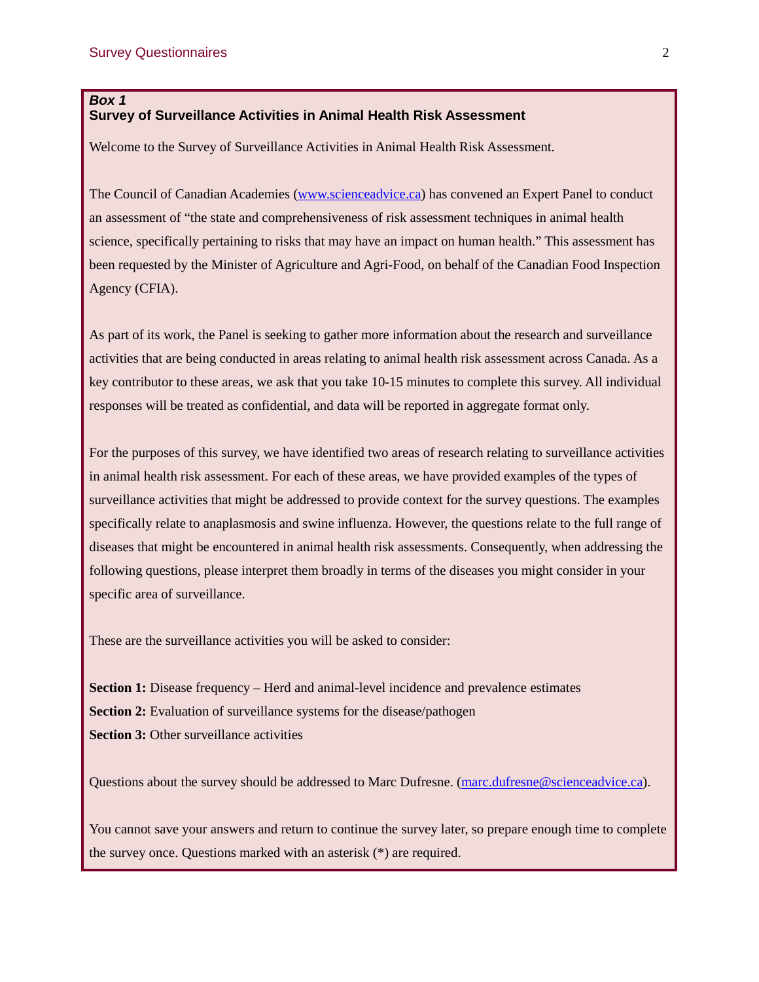## *Box 1* **Survey of Surveillance Activities in Animal Health Risk Assessment**

Welcome to the Survey of Surveillance Activities in Animal Health Risk Assessment.

The Council of Canadian Academies [\(www.scienceadvice.ca\)](http://www.scienceadvice.ca/) has convened an Expert Panel to conduct an assessment of "the state and comprehensiveness of risk assessment techniques in animal health science, specifically pertaining to risks that may have an impact on human health." This assessment has been requested by the Minister of Agriculture and Agri-Food, on behalf of the Canadian Food Inspection Agency (CFIA).

As part of its work, the Panel is seeking to gather more information about the research and surveillance activities that are being conducted in areas relating to animal health risk assessment across Canada. As a key contributor to these areas, we ask that you take 10-15 minutes to complete this survey. All individual responses will be treated as confidential, and data will be reported in aggregate format only.

For the purposes of this survey, we have identified two areas of research relating to surveillance activities in animal health risk assessment. For each of these areas, we have provided examples of the types of surveillance activities that might be addressed to provide context for the survey questions. The examples specifically relate to anaplasmosis and swine influenza. However, the questions relate to the full range of diseases that might be encountered in animal health risk assessments. Consequently, when addressing the following questions, please interpret them broadly in terms of the diseases you might consider in your specific area of surveillance.

These are the surveillance activities you will be asked to consider:

**Section 1:** Disease frequency – Herd and animal-level incidence and prevalence estimates **Section 2:** Evaluation of surveillance systems for the disease/pathogen **Section 3:** Other surveillance activities

Questions about the survey should be addressed to Marc Dufresne. [\(marc.dufresne@scienceadvice.ca\)](mailto:marc.dufresne@scienceadvice.ca).

You cannot save your answers and return to continue the survey later, so prepare enough time to complete the survey once. Questions marked with an asterisk (\*) are required.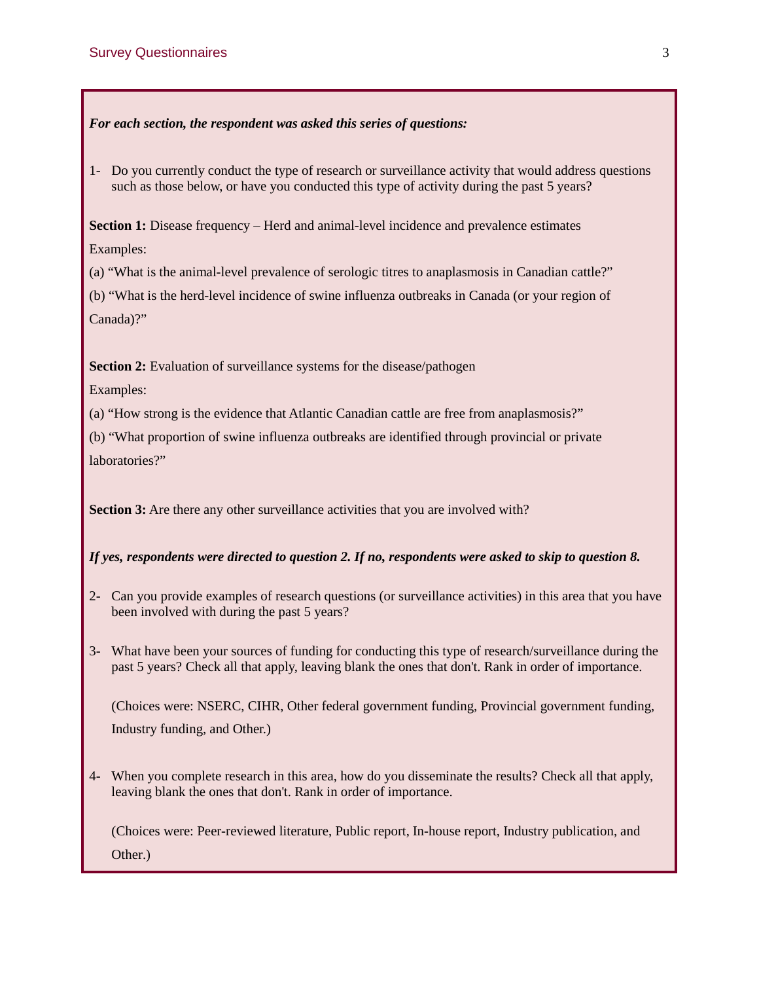## *For each section, the respondent was asked this series of questions:*

1- Do you currently conduct the type of research or surveillance activity that would address questions such as those below, or have you conducted this type of activity during the past 5 years?

**Section 1:** Disease frequency – Herd and animal-level incidence and prevalence estimates Examples:

(a) "What is the animal-level prevalence of serologic titres to anaplasmosis in Canadian cattle?"

(b) "What is the herd-level incidence of swine influenza outbreaks in Canada (or your region of Canada)?"

**Section 2:** Evaluation of surveillance systems for the disease/pathogen

Examples:

(a) "How strong is the evidence that Atlantic Canadian cattle are free from anaplasmosis?"

(b) "What proportion of swine influenza outbreaks are identified through provincial or private laboratories?"

**Section 3:** Are there any other surveillance activities that you are involved with?

## *If yes, respondents were directed to question 2. If no, respondents were asked to skip to question 8.*

- 2- Can you provide examples of research questions (or surveillance activities) in this area that you have been involved with during the past 5 years?
- 3- What have been your sources of funding for conducting this type of research/surveillance during the past 5 years? Check all that apply, leaving blank the ones that don't. Rank in order of importance.

(Choices were: NSERC, CIHR, Other federal government funding, Provincial government funding, Industry funding, and Other.)

4- When you complete research in this area, how do you disseminate the results? Check all that apply, leaving blank the ones that don't. Rank in order of importance.

(Choices were: Peer-reviewed literature, Public report, In-house report, Industry publication, and Other.)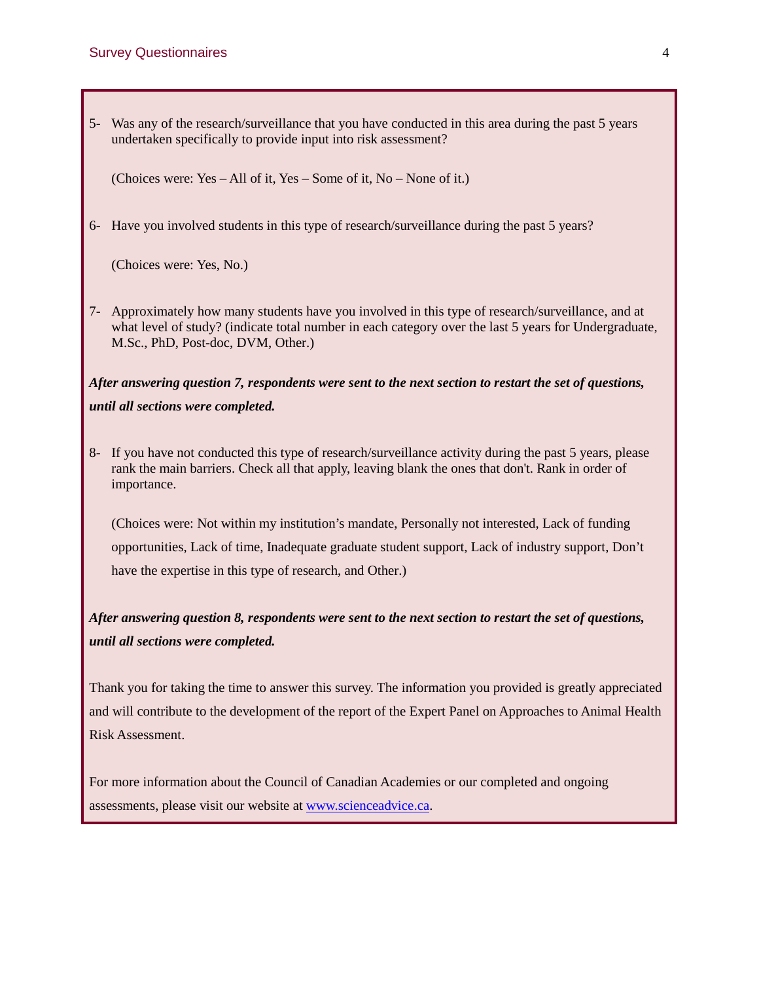5- Was any of the research/surveillance that you have conducted in this area during the past 5 years undertaken specifically to provide input into risk assessment?

(Choices were: Yes – All of it, Yes – Some of it, No – None of it.)

6- Have you involved students in this type of research/surveillance during the past 5 years?

(Choices were: Yes, No.)

7- Approximately how many students have you involved in this type of research/surveillance, and at what level of study? (indicate total number in each category over the last 5 years for Undergraduate, M.Sc., PhD, Post-doc, DVM, Other.)

*After answering question 7, respondents were sent to the next section to restart the set of questions, until all sections were completed.*

8- If you have not conducted this type of research/surveillance activity during the past 5 years, please rank the main barriers. Check all that apply, leaving blank the ones that don't. Rank in order of importance.

(Choices were: Not within my institution's mandate, Personally not interested, Lack of funding opportunities, Lack of time, Inadequate graduate student support, Lack of industry support, Don't have the expertise in this type of research, and Other.)

## *After answering question 8, respondents were sent to the next section to restart the set of questions, until all sections were completed.*

Thank you for taking the time to answer this survey. The information you provided is greatly appreciated and will contribute to the development of the report of the Expert Panel on Approaches to Animal Health Risk Assessment.

For more information about the Council of Canadian Academies or our completed and ongoing assessments, please visit our website at [www.scienceadvice.ca.](http://www.scienceadvice.ca/)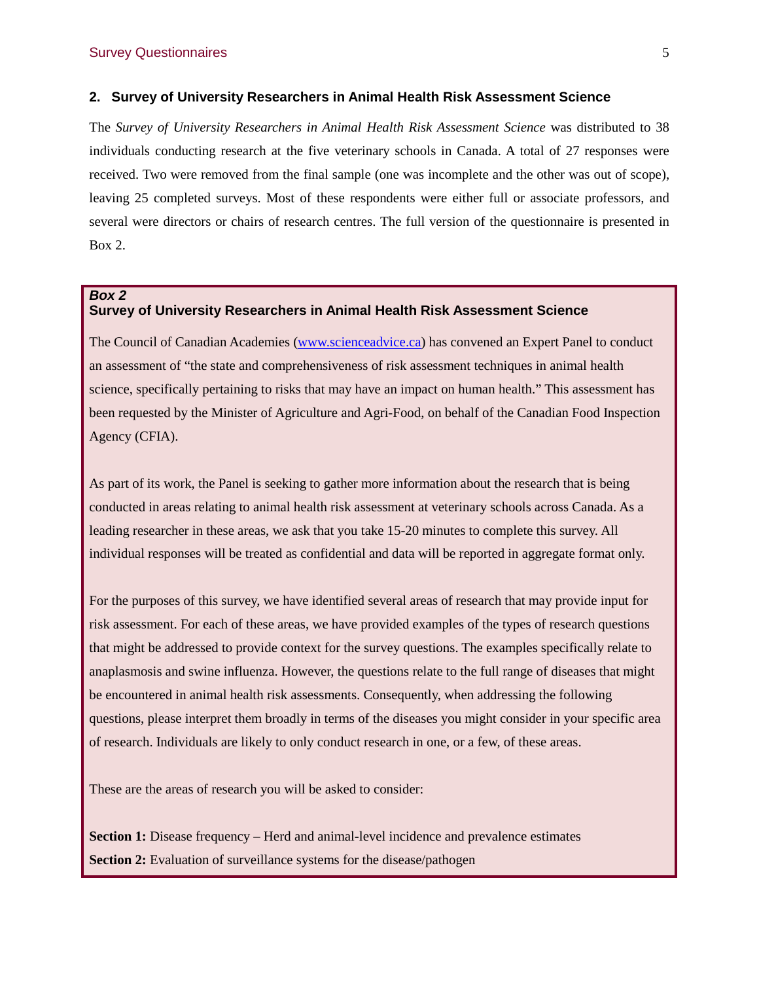#### **2. Survey of University Researchers in Animal Health Risk Assessment Science**

The *Survey of University Researchers in Animal Health Risk Assessment Science* was distributed to 38 individuals conducting research at the five veterinary schools in Canada. A total of 27 responses were received. Two were removed from the final sample (one was incomplete and the other was out of scope), leaving 25 completed surveys. Most of these respondents were either full or associate professors, and several were directors or chairs of research centres. The full version of the questionnaire is presented in Box 2.

#### *Box 2* **Survey of University Researchers in Animal Health Risk Assessment Science**

The Council of Canadian Academies [\(www.scienceadvice.ca\)](http://www.scienceadvice.ca/) has convened an Expert Panel to conduct an assessment of "the state and comprehensiveness of risk assessment techniques in animal health science, specifically pertaining to risks that may have an impact on human health." This assessment has been requested by the Minister of Agriculture and Agri-Food, on behalf of the Canadian Food Inspection Agency (CFIA).

As part of its work, the Panel is seeking to gather more information about the research that is being conducted in areas relating to animal health risk assessment at veterinary schools across Canada. As a leading researcher in these areas, we ask that you take 15-20 minutes to complete this survey. All individual responses will be treated as confidential and data will be reported in aggregate format only.

For the purposes of this survey, we have identified several areas of research that may provide input for risk assessment. For each of these areas, we have provided examples of the types of research questions that might be addressed to provide context for the survey questions. The examples specifically relate to anaplasmosis and swine influenza. However, the questions relate to the full range of diseases that might be encountered in animal health risk assessments. Consequently, when addressing the following questions, please interpret them broadly in terms of the diseases you might consider in your specific area of research. Individuals are likely to only conduct research in one, or a few, of these areas.

These are the areas of research you will be asked to consider:

**Section 1:** Disease frequency – Herd and animal-level incidence and prevalence estimates **Section 2:** Evaluation of surveillance systems for the disease/pathogen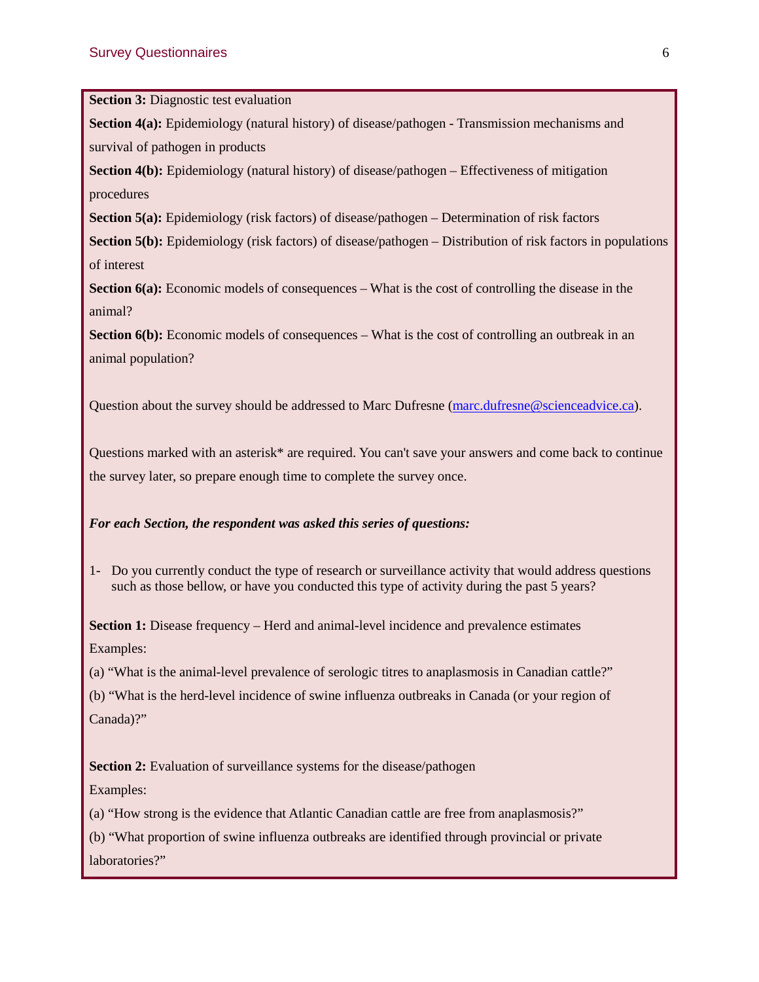**Section 3: Diagnostic test evaluation** 

**Section 4(a):** Epidemiology (natural history) of disease/pathogen - Transmission mechanisms and survival of pathogen in products

**Section 4(b):** Epidemiology (natural history) of disease/pathogen – Effectiveness of mitigation procedures

**Section 5(a):** Epidemiology (risk factors) of disease/pathogen – Determination of risk factors

**Section 5(b):** Epidemiology (risk factors) of disease/pathogen – Distribution of risk factors in populations of interest

**Section 6(a):** Economic models of consequences – What is the cost of controlling the disease in the animal?

**Section 6(b):** Economic models of consequences – What is the cost of controlling an outbreak in an animal population?

Question about the survey should be addressed to Marc Dufresne [\(marc.dufresne@scienceadvice.ca\)](mailto:marc.dufresne@scienceadvice.ca).

Questions marked with an asterisk\* are required. You can't save your answers and come back to continue the survey later, so prepare enough time to complete the survey once.

#### *For each Section, the respondent was asked this series of questions:*

1- Do you currently conduct the type of research or surveillance activity that would address questions such as those bellow, or have you conducted this type of activity during the past 5 years?

**Section 1:** Disease frequency – Herd and animal-level incidence and prevalence estimates Examples:

(a) "What is the animal-level prevalence of serologic titres to anaplasmosis in Canadian cattle?"

(b) "What is the herd-level incidence of swine influenza outbreaks in Canada (or your region of Canada)?"

**Section 2:** Evaluation of surveillance systems for the disease/pathogen

Examples:

(a) "How strong is the evidence that Atlantic Canadian cattle are free from anaplasmosis?"

(b) "What proportion of swine influenza outbreaks are identified through provincial or private laboratories?"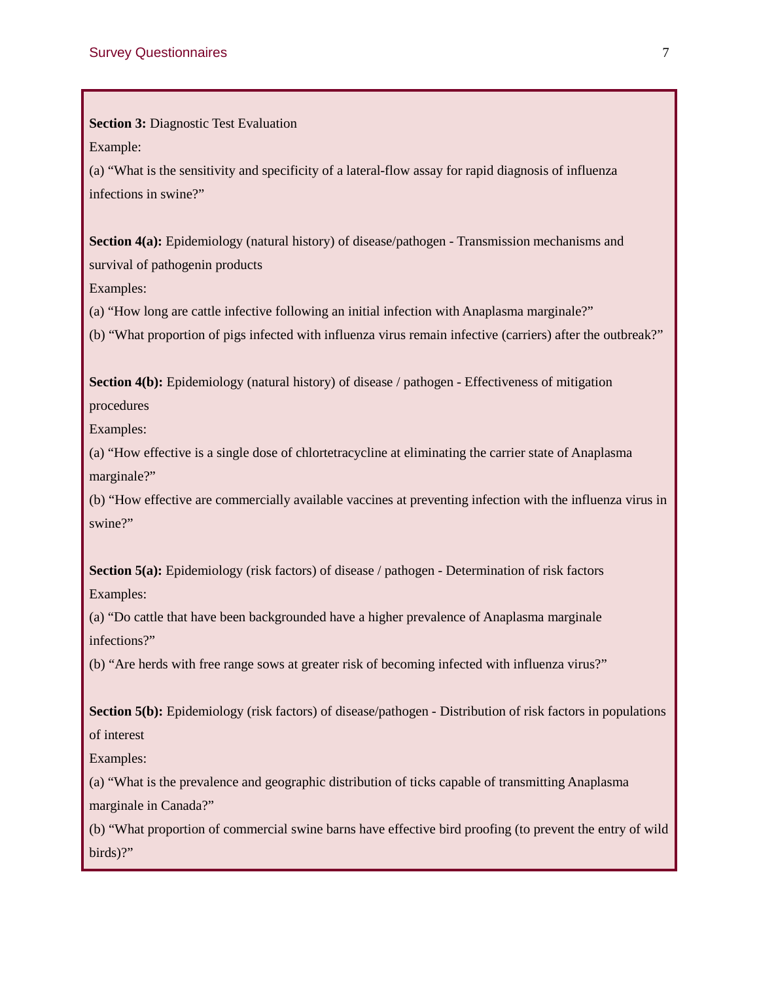**Section 3:** Diagnostic Test Evaluation

Example:

(a) "What is the sensitivity and specificity of a lateral-flow assay for rapid diagnosis of influenza infections in swine?"

**Section 4(a):** Epidemiology (natural history) of disease/pathogen - Transmission mechanisms and survival of pathogenin products

Examples:

(a) "How long are cattle infective following an initial infection with Anaplasma marginale?"

(b) "What proportion of pigs infected with influenza virus remain infective (carriers) after the outbreak?"

**Section 4(b):** Epidemiology (natural history) of disease / pathogen - Effectiveness of mitigation procedures

Examples:

(a) "How effective is a single dose of chlortetracycline at eliminating the carrier state of Anaplasma marginale?"

(b) "How effective are commercially available vaccines at preventing infection with the influenza virus in swine?"

**Section 5(a):** Epidemiology (risk factors) of disease / pathogen - Determination of risk factors Examples:

(a) "Do cattle that have been backgrounded have a higher prevalence of Anaplasma marginale infections?"

(b) "Are herds with free range sows at greater risk of becoming infected with influenza virus?"

**Section 5(b):** Epidemiology (risk factors) of disease/pathogen - Distribution of risk factors in populations of interest

Examples:

(a) "What is the prevalence and geographic distribution of ticks capable of transmitting Anaplasma marginale in Canada?"

(b) "What proportion of commercial swine barns have effective bird proofing (to prevent the entry of wild birds)?"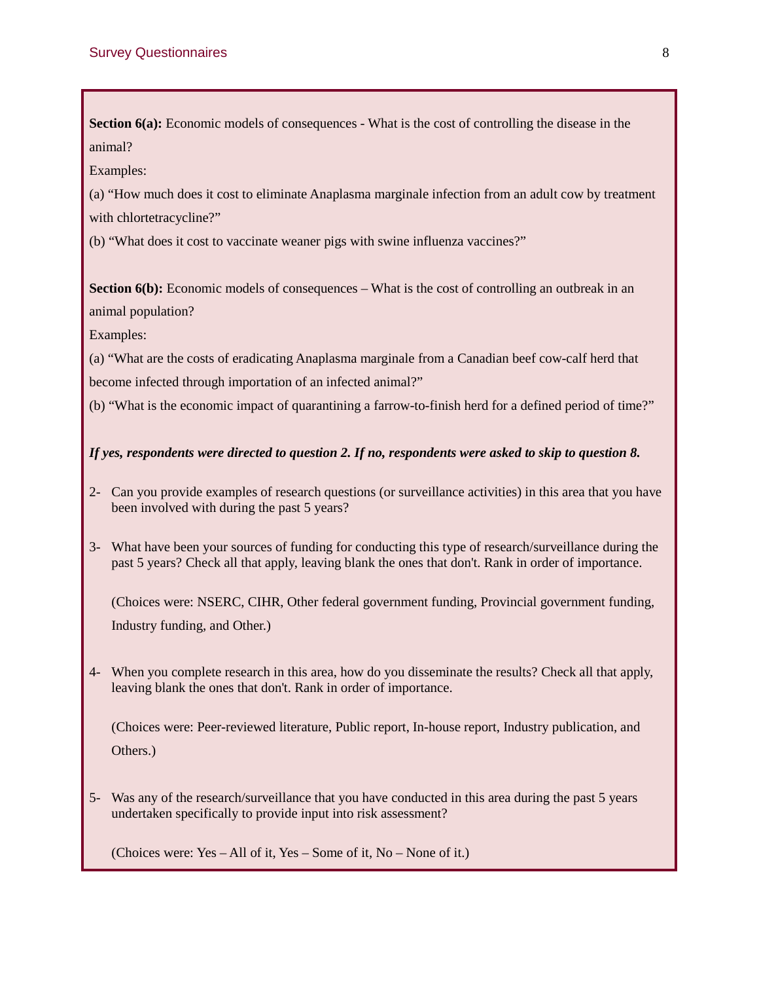**Section 6(a):** Economic models of consequences - What is the cost of controlling the disease in the animal?

Examples:

(a) "How much does it cost to eliminate Anaplasma marginale infection from an adult cow by treatment with chlortetracycline?"

(b) "What does it cost to vaccinate weaner pigs with swine influenza vaccines?"

**Section 6(b):** Economic models of consequences – What is the cost of controlling an outbreak in an animal population?

Examples:

(a) "What are the costs of eradicating Anaplasma marginale from a Canadian beef cow-calf herd that become infected through importation of an infected animal?"

(b) "What is the economic impact of quarantining a farrow-to-finish herd for a defined period of time?"

## *If yes, respondents were directed to question 2. If no, respondents were asked to skip to question 8.*

- 2- Can you provide examples of research questions (or surveillance activities) in this area that you have been involved with during the past 5 years?
- 3- What have been your sources of funding for conducting this type of research/surveillance during the past 5 years? Check all that apply, leaving blank the ones that don't. Rank in order of importance.

(Choices were: NSERC, CIHR, Other federal government funding, Provincial government funding, Industry funding, and Other.)

4- When you complete research in this area, how do you disseminate the results? Check all that apply, leaving blank the ones that don't. Rank in order of importance.

(Choices were: Peer-reviewed literature, Public report, In-house report, Industry publication, and Others.)

5- Was any of the research/surveillance that you have conducted in this area during the past 5 years undertaken specifically to provide input into risk assessment?

(Choices were: Yes – All of it, Yes – Some of it, No – None of it.)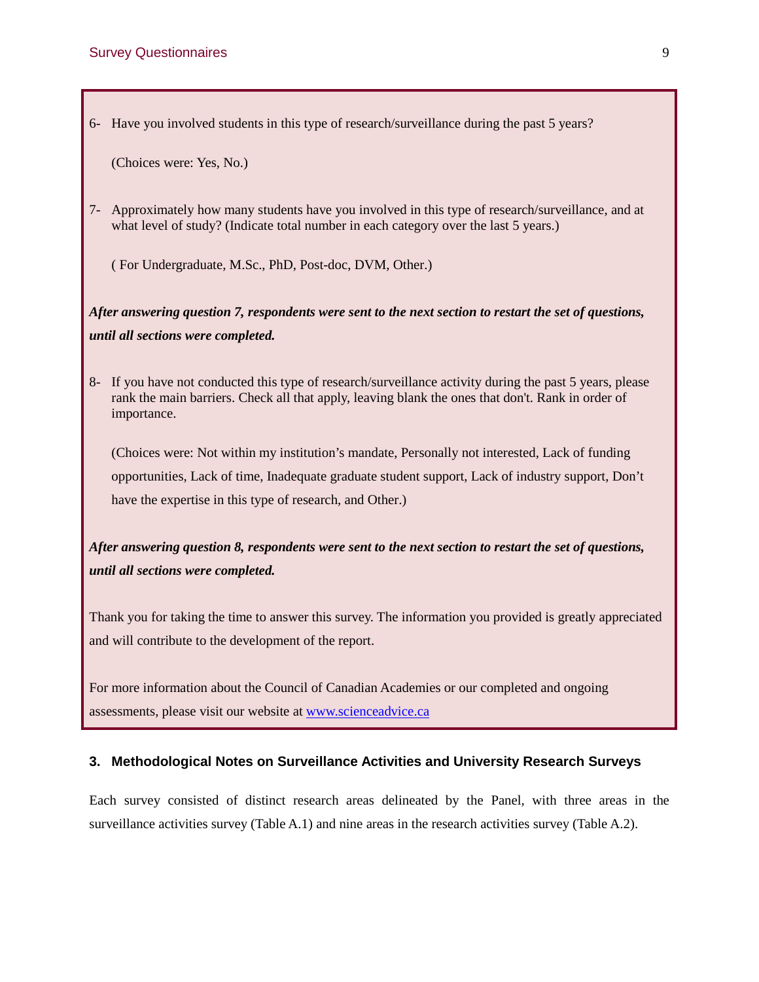6- Have you involved students in this type of research/surveillance during the past 5 years?

(Choices were: Yes, No.)

7- Approximately how many students have you involved in this type of research/surveillance, and at what level of study? (Indicate total number in each category over the last 5 years.)

( For Undergraduate, M.Sc., PhD, Post-doc, DVM, Other.)

*After answering question 7, respondents were sent to the next section to restart the set of questions, until all sections were completed.*

8- If you have not conducted this type of research/surveillance activity during the past 5 years, please rank the main barriers. Check all that apply, leaving blank the ones that don't. Rank in order of importance.

(Choices were: Not within my institution's mandate, Personally not interested, Lack of funding opportunities, Lack of time, Inadequate graduate student support, Lack of industry support, Don't have the expertise in this type of research, and Other.)

*After answering question 8, respondents were sent to the next section to restart the set of questions, until all sections were completed.*

Thank you for taking the time to answer this survey. The information you provided is greatly appreciated and will contribute to the development of the report.

For more information about the Council of Canadian Academies or our completed and ongoing assessments, please visit our website at [www.scienceadvice.ca](http://www.scienceadvice.ca/)

## **3. Methodological Notes on Surveillance Activities and University Research Surveys**

Each survey consisted of distinct research areas delineated by the Panel, with three areas in the surveillance activities survey (Table A.1) and nine areas in the research activities survey (Table A.2).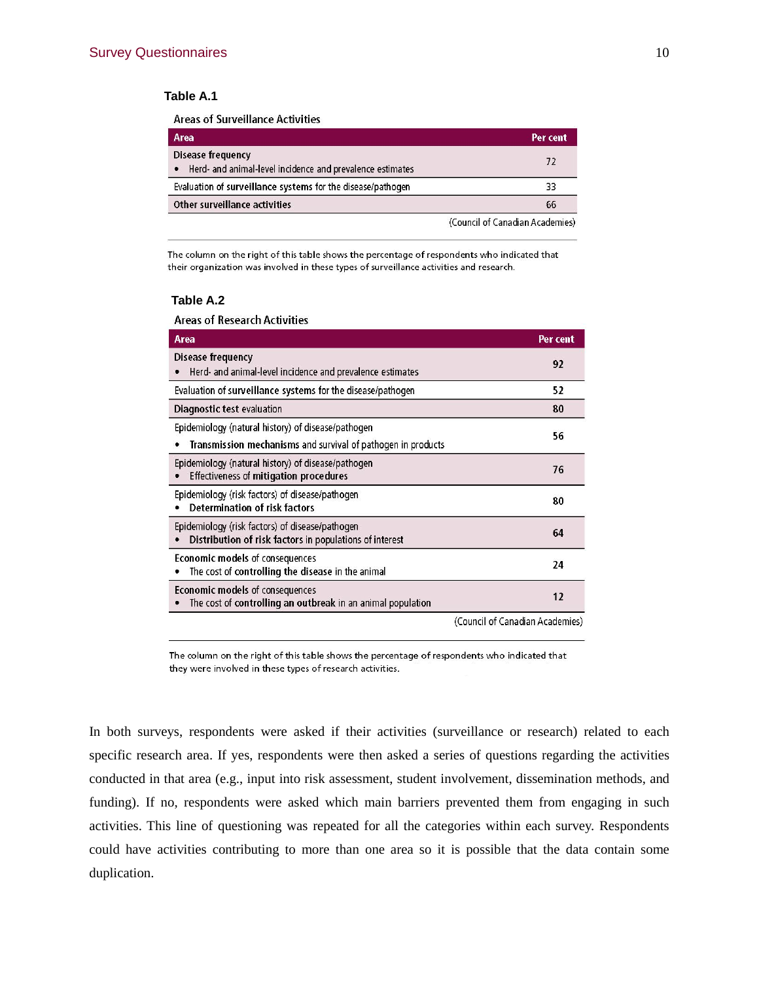### **Table A.1**

**Areas of Surveillance Activities** 

| Area                                                                                               | Per cent                        |
|----------------------------------------------------------------------------------------------------|---------------------------------|
| <b>Disease frequency</b><br>Herd- and animal-level incidence and prevalence estimates<br>$\bullet$ | 72                              |
| Evaluation of surveillance systems for the disease/pathogen                                        | 33                              |
| Other surveillance activities                                                                      | 66                              |
|                                                                                                    | (Council of Canadian Academies) |

The column on the right of this table shows the percentage of respondents who indicated that their organization was involved in these types of surveillance activities and research.

#### **Table A.2**

**Areas of Research Activities** 

| <b>Area</b>                                                                                                        | Per cent                        |
|--------------------------------------------------------------------------------------------------------------------|---------------------------------|
| Disease frequency<br>Herd- and animal-level incidence and prevalence estimates                                     | 92                              |
| Evaluation of surveillance systems for the disease/pathogen                                                        | 52                              |
| Diagnostic test evaluation                                                                                         | 80                              |
| Epidemiology (natural history) of disease/pathogen<br>Transmission mechanisms and survival of pathogen in products | 56                              |
| Epidemiology (natural history) of disease/pathogen<br><b>Effectiveness of mitigation procedures</b>                | 76                              |
| Epidemiology (risk factors) of disease/pathogen<br>Determination of risk factors                                   | 80                              |
| Epidemiology (risk factors) of disease/pathogen<br>Distribution of risk factors in populations of interest         | 64                              |
| Economic models of consequences<br>The cost of controlling the disease in the animal                               | 24                              |
| Economic models of consequences<br>The cost of controlling an outbreak in an animal population                     | 12                              |
|                                                                                                                    | (Council of Canadian Academies) |

The column on the right of this table shows the percentage of respondents who indicated that they were involved in these types of research activities.

In both surveys, respondents were asked if their activities (surveillance or research) related to each specific research area. If yes, respondents were then asked a series of questions regarding the activities conducted in that area (e.g., input into risk assessment, student involvement, dissemination methods, and funding). If no, respondents were asked which main barriers prevented them from engaging in such activities. This line of questioning was repeated for all the categories within each survey. Respondents could have activities contributing to more than one area so it is possible that the data contain some duplication.